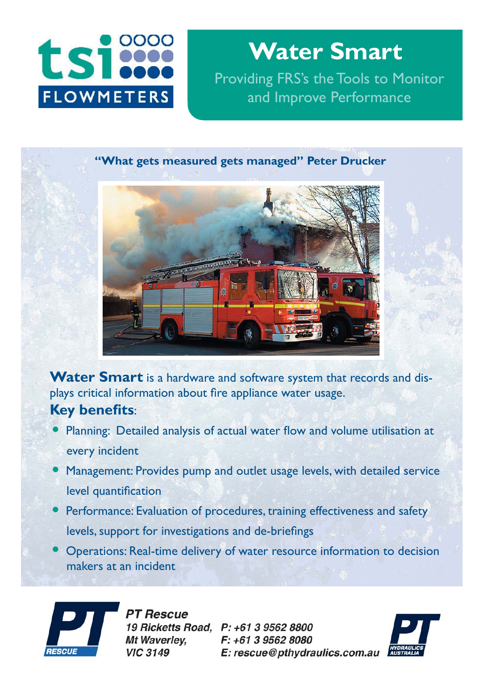

**Water Smart** Providing FRS's the Tools to Monitor and Improve Performance

## **"What gets measured gets managed" Peter Drucker**



**Water Smart** is a hardware and software system that records and displays critical information about fire appliance water usage. **Key benefits**:

- Planning: Detailed analysis of actual water flow and volume utilisation at every incident
- Management: Provides pump and outlet usage levels, with detailed service level quantification
- Performance: Evaluation of procedures, training effectiveness and safety levels, support for investigations and de-briefings
- Operations: Real-time delivery of water resource information to decision makers at an incident



**PT Rescue** 19 Ricketts Road, P: +61 3 9562 8800 Mt Waverlev. **VIC 3149** 

F: +61 3 9562 8080 E: rescue@pthydraulics.com.au